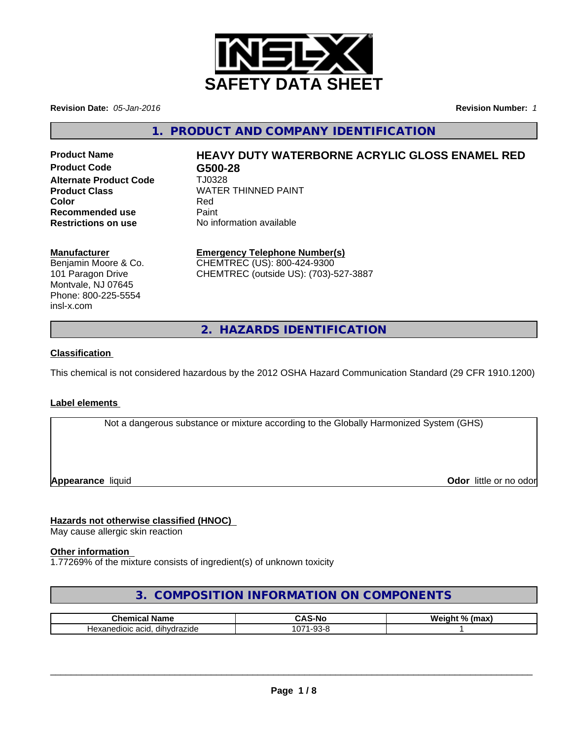

**Revision Date:** *05-Jan-2016* **Revision Number:** *1*

**1. PRODUCT AND COMPANY IDENTIFICATION**

**Product Code Alternate Product Code** TJ0328 **Recommended use Eaint Paint<br>
<b>Restrictions on use** No int

# Product Name **HEAVY DUTY WATERBORNE ACRYLIC GLOSS ENAMEL RED**<br>Product Code **C500-28**

**Product Class** WATER THINNED PAINT **Color** Red **Restrictions on use** No information available

## **Manufacturer**

Benjamin Moore & Co. 101 Paragon Drive Montvale, NJ 07645 Phone: 800-225-5554 insl-x.com

**Emergency Telephone Number(s)** CHEMTREC (US): 800-424-9300

CHEMTREC (outside US): (703)-527-3887

**2. HAZARDS IDENTIFICATION**

## **Classification**

This chemical is not considered hazardous by the 2012 OSHA Hazard Communication Standard (29 CFR 1910.1200)

## **Label elements**

Not a dangerous substance or mixture according to the Globally Harmonized System (GHS)

**Appearance** liquid

**Odor** little or no odor

# **Hazards not otherwise classified (HNOC)**

May cause allergic skin reaction

## **Other information**

1.77269% of the mixture consists of ingredient(s) of unknown toxicity

# **3. COMPOSITION INFORMATION ON COMPONENTS**

| $\sim$ $\sim$ $\sim$ $\sim$<br>Name<br>л.<br>41 H I C<br>11 مه<br>-01 | -Nc<br>-                           | We<br>$\mathbf{a}$<br>$\sum_{i=1}^{n}$<br> |
|-----------------------------------------------------------------------|------------------------------------|--------------------------------------------|
| $\cdots$<br>dihvdrazide<br>acio.<br>Hex <sup>-</sup><br>aloic.<br>nn, | $\sim$<br>$\sim$ $\sim$<br>U.<br>ິ |                                            |

 $\overline{\phantom{a}}$  ,  $\overline{\phantom{a}}$  ,  $\overline{\phantom{a}}$  ,  $\overline{\phantom{a}}$  ,  $\overline{\phantom{a}}$  ,  $\overline{\phantom{a}}$  ,  $\overline{\phantom{a}}$  ,  $\overline{\phantom{a}}$  ,  $\overline{\phantom{a}}$  ,  $\overline{\phantom{a}}$  ,  $\overline{\phantom{a}}$  ,  $\overline{\phantom{a}}$  ,  $\overline{\phantom{a}}$  ,  $\overline{\phantom{a}}$  ,  $\overline{\phantom{a}}$  ,  $\overline{\phantom{a}}$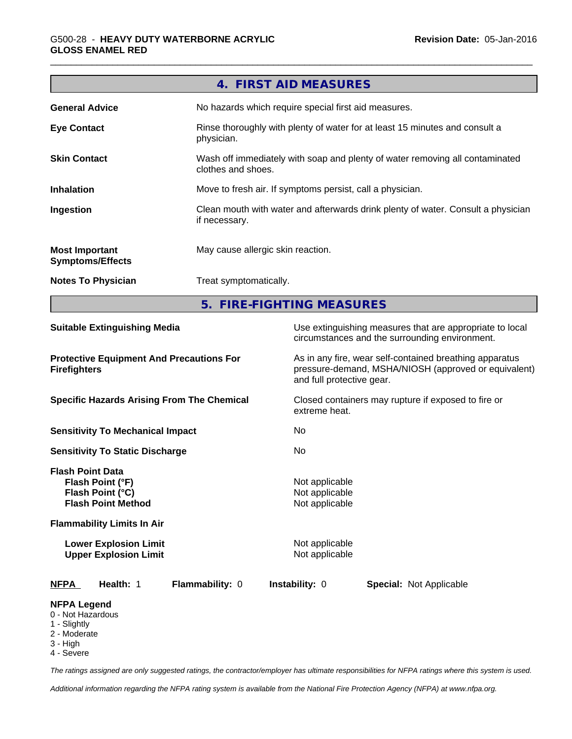|                                                                                     |                                                              |                 | 4. FIRST AID MEASURES                                                                                                                        |                                |  |
|-------------------------------------------------------------------------------------|--------------------------------------------------------------|-----------------|----------------------------------------------------------------------------------------------------------------------------------------------|--------------------------------|--|
| <b>General Advice</b>                                                               |                                                              |                 | No hazards which require special first aid measures.                                                                                         |                                |  |
| <b>Eye Contact</b>                                                                  |                                                              | physician.      | Rinse thoroughly with plenty of water for at least 15 minutes and consult a                                                                  |                                |  |
| <b>Skin Contact</b>                                                                 |                                                              |                 | Wash off immediately with soap and plenty of water removing all contaminated<br>clothes and shoes.                                           |                                |  |
| <b>Inhalation</b>                                                                   |                                                              |                 | Move to fresh air. If symptoms persist, call a physician.                                                                                    |                                |  |
| Ingestion                                                                           |                                                              | if necessary.   | Clean mouth with water and afterwards drink plenty of water. Consult a physician                                                             |                                |  |
| <b>Most Important</b><br><b>Symptoms/Effects</b>                                    |                                                              |                 | May cause allergic skin reaction.                                                                                                            |                                |  |
| <b>Notes To Physician</b>                                                           |                                                              |                 | Treat symptomatically.                                                                                                                       |                                |  |
|                                                                                     |                                                              |                 | 5. FIRE-FIGHTING MEASURES                                                                                                                    |                                |  |
| <b>Suitable Extinguishing Media</b>                                                 |                                                              |                 | Use extinguishing measures that are appropriate to local<br>circumstances and the surrounding environment.                                   |                                |  |
| <b>Protective Equipment And Precautions For</b><br><b>Firefighters</b>              |                                                              |                 | As in any fire, wear self-contained breathing apparatus<br>pressure-demand, MSHA/NIOSH (approved or equivalent)<br>and full protective gear. |                                |  |
| <b>Specific Hazards Arising From The Chemical</b>                                   |                                                              |                 | Closed containers may rupture if exposed to fire or<br>extreme heat.                                                                         |                                |  |
| <b>Sensitivity To Mechanical Impact</b>                                             |                                                              | No.             |                                                                                                                                              |                                |  |
|                                                                                     | <b>Sensitivity To Static Discharge</b>                       |                 | No                                                                                                                                           |                                |  |
| <b>Flash Point Data</b><br>Flash Point (°F)<br>Flash Point (°C)                     | <b>Flash Point Method</b>                                    |                 | Not applicable<br>Not applicable<br>Not applicable                                                                                           |                                |  |
|                                                                                     | <b>Flammability Limits In Air</b>                            |                 |                                                                                                                                              |                                |  |
|                                                                                     | <b>Lower Explosion Limit</b><br><b>Upper Explosion Limit</b> |                 | Not applicable<br>Not applicable                                                                                                             |                                |  |
| <u>NFPA</u>                                                                         | Health: 1                                                    | Flammability: 0 | Instability: 0                                                                                                                               | <b>Special: Not Applicable</b> |  |
| <b>NFPA Legend</b><br>0 - Not Hazardous<br>1 - Slightly<br>2 - Moderate<br>3 - High |                                                              |                 |                                                                                                                                              |                                |  |

4 - Severe

*The ratings assigned are only suggested ratings, the contractor/employer has ultimate responsibilities for NFPA ratings where this system is used.*

*Additional information regarding the NFPA rating system is available from the National Fire Protection Agency (NFPA) at www.nfpa.org.*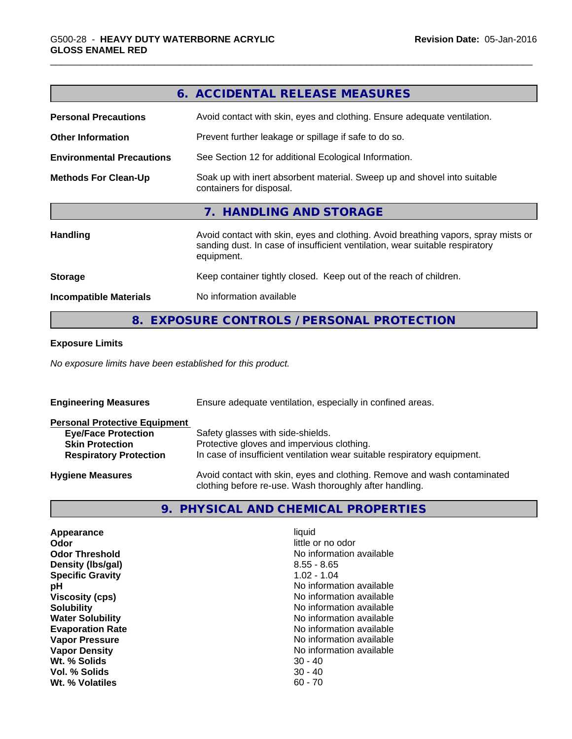|                                  | 6. ACCIDENTAL RELEASE MEASURES                                                                                                                                                   |
|----------------------------------|----------------------------------------------------------------------------------------------------------------------------------------------------------------------------------|
| <b>Personal Precautions</b>      | Avoid contact with skin, eyes and clothing. Ensure adequate ventilation.                                                                                                         |
| <b>Other Information</b>         | Prevent further leakage or spillage if safe to do so.                                                                                                                            |
| <b>Environmental Precautions</b> | See Section 12 for additional Ecological Information.                                                                                                                            |
| <b>Methods For Clean-Up</b>      | Soak up with inert absorbent material. Sweep up and shovel into suitable<br>containers for disposal.                                                                             |
|                                  | 7. HANDLING AND STORAGE                                                                                                                                                          |
| <b>Handling</b>                  | Avoid contact with skin, eyes and clothing. Avoid breathing vapors, spray mists or<br>sanding dust. In case of insufficient ventilation, wear suitable respiratory<br>equipment. |
| <b>Storage</b>                   | Keep container tightly closed. Keep out of the reach of children.                                                                                                                |
| <b>Incompatible Materials</b>    | No information available                                                                                                                                                         |
|                                  | 8. EXPOSURE CONTROLS / PERSONAL PROTECTION                                                                                                                                       |

#### **Exposure Limits**

*No exposure limits have been established for this product.*

| <b>Engineering Measures</b>          | Ensure adequate ventilation, especially in confined areas.                                                                          |  |  |  |
|--------------------------------------|-------------------------------------------------------------------------------------------------------------------------------------|--|--|--|
| <b>Personal Protective Equipment</b> |                                                                                                                                     |  |  |  |
| <b>Eye/Face Protection</b>           | Safety glasses with side-shields.                                                                                                   |  |  |  |
| <b>Skin Protection</b>               | Protective gloves and impervious clothing.                                                                                          |  |  |  |
| <b>Respiratory Protection</b>        | In case of insufficient ventilation wear suitable respiratory equipment.                                                            |  |  |  |
| <b>Hygiene Measures</b>              | Avoid contact with skin, eyes and clothing. Remove and wash contaminated<br>clothing before re-use. Wash thoroughly after handling. |  |  |  |

# **9. PHYSICAL AND CHEMICAL PROPERTIES**

| Appearance              | liquid                   |
|-------------------------|--------------------------|
| Odor                    | little or no odor        |
| <b>Odor Threshold</b>   | No information available |
| Density (Ibs/gal)       | $8.55 - 8.65$            |
| <b>Specific Gravity</b> | $1.02 - 1.04$            |
| рH                      | No information available |
| <b>Viscosity (cps)</b>  | No information available |
| <b>Solubility</b>       | No information available |
| <b>Water Solubility</b> | No information available |
| <b>Evaporation Rate</b> | No information available |
| <b>Vapor Pressure</b>   | No information available |
| <b>Vapor Density</b>    | No information available |
| Wt. % Solids            | $30 - 40$                |
| Vol. % Solids           | $30 - 40$                |
| Wt. % Volatiles         | $60 - 70$                |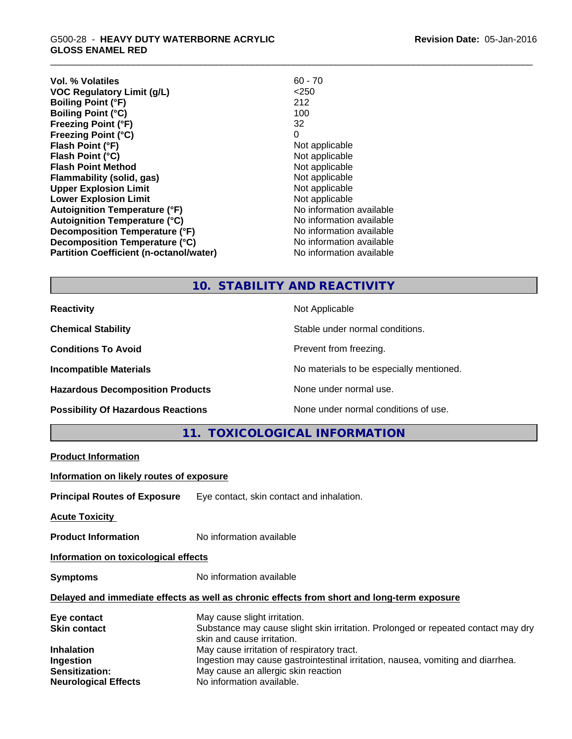| <b>Vol. % Volatiles</b>                        | $60 - 70$                |
|------------------------------------------------|--------------------------|
| <b>VOC Regulatory Limit (g/L)</b>              | $<$ 250                  |
| <b>Boiling Point (°F)</b>                      | 212                      |
| <b>Boiling Point (°C)</b>                      | 100                      |
| <b>Freezing Point (°F)</b>                     | 32                       |
| Freezing Point (°C)                            | 0                        |
| Flash Point (°F)                               | Not applicable           |
| Flash Point (°C)                               | Not applicable           |
| <b>Flash Point Method</b>                      | Not applicable           |
| Flammability (solid, gas)                      | Not applicable           |
| <b>Upper Explosion Limit</b>                   | Not applicable           |
| <b>Lower Explosion Limit</b>                   | Not applicable           |
| <b>Autoignition Temperature (°F)</b>           | No information available |
| <b>Autoignition Temperature (°C)</b>           | No information available |
| Decomposition Temperature (°F)                 | No information available |
| Decomposition Temperature (°C)                 | No information available |
| <b>Partition Coefficient (n-octanol/water)</b> | No information available |
|                                                |                          |

## **10. STABILITY AND REACTIVITY**

**Hazardous Decomposition Products** None under normal use.

**Reactivity** Not Applicable

**Chemical Stability** Stable under normal conditions.

**Conditions To Avoid Prevent from freezing.** 

**Incompatible Materials Incompatible Materials No materials to be especially mentioned.** 

**Possibility Of Hazardous Reactions** None under normal conditions of use.

**11. TOXICOLOGICAL INFORMATION**

**Product Information**

**Information on likely routes of exposure**

**Principal Routes of Exposure** Eye contact, skin contact and inhalation.

**Acute Toxicity** 

**Product Information** No information available

**Information on toxicological effects**

**Symptoms** No information available

#### **Delayed and immediate effects as well as chronic effects from short and long-term exposure**

| May cause slight irritation.                                                      |
|-----------------------------------------------------------------------------------|
| Substance may cause slight skin irritation. Prolonged or repeated contact may dry |
| skin and cause irritation.                                                        |
| May cause irritation of respiratory tract.                                        |
| Ingestion may cause gastrointestinal irritation, nausea, vomiting and diarrhea.   |
| May cause an allergic skin reaction                                               |
| No information available.                                                         |
|                                                                                   |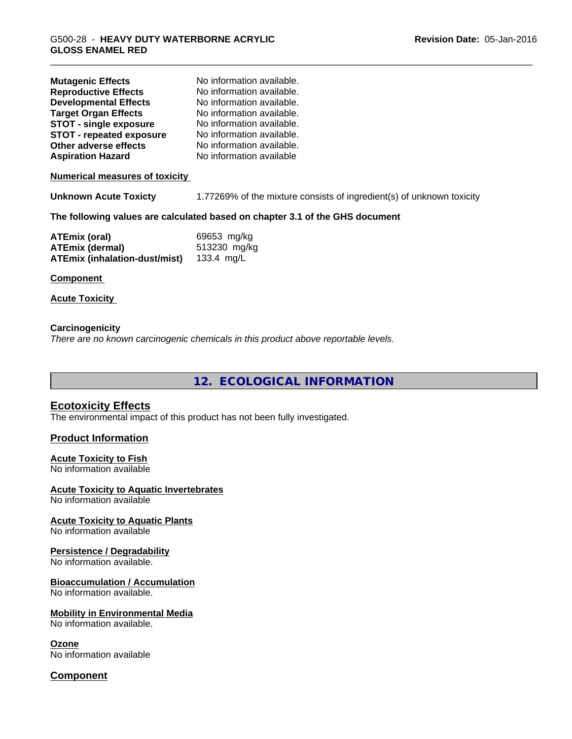| <b>Mutagenic Effects</b><br><b>Reproductive Effects</b><br><b>Developmental Effects</b><br><b>Target Organ Effects</b><br><b>STOT - single exposure</b><br><b>STOT - repeated exposure</b><br>Other adverse effects<br><b>Aspiration Hazard</b> | No information available.<br>No information available.<br>No information available.<br>No information available.<br>No information available.<br>No information available.<br>No information available.<br>No information available |
|-------------------------------------------------------------------------------------------------------------------------------------------------------------------------------------------------------------------------------------------------|-------------------------------------------------------------------------------------------------------------------------------------------------------------------------------------------------------------------------------------|
| <b>Numerical measures of toxicity</b>                                                                                                                                                                                                           |                                                                                                                                                                                                                                     |
| <b>Unknown Acute Toxicty</b>                                                                                                                                                                                                                    | 1.77269% of the mixture consists of ingredient(s) of unknown toxicity                                                                                                                                                               |
|                                                                                                                                                                                                                                                 | The following values are calculated based on chapter 3.1 of the GHS document                                                                                                                                                        |
| <b>ATEmix (oral)</b><br><b>ATEmix (dermal)</b><br><b>ATEmix (inhalation-dust/mist)</b><br>Component<br><b>Acute Toxicity</b>                                                                                                                    | 69653 mg/kg<br>513230 mg/kg<br>133.4 $mg/L$                                                                                                                                                                                         |
|                                                                                                                                                                                                                                                 |                                                                                                                                                                                                                                     |

#### **Carcinogenicity** *There are no known carcinogenic chemicals in this product above reportable levels.*

**12. ECOLOGICAL INFORMATION**

# **Ecotoxicity Effects**

The environmental impact of this product has not been fully investigated.

## **Product Information**

# **Acute Toxicity to Fish**

No information available

## **Acute Toxicity to Aquatic Invertebrates**

No information available

**Acute Toxicity to Aquatic Plants**

# No information available

#### **Persistence / Degradability**

No information available.

#### **Bioaccumulation / Accumulation**

No information available.

## **Mobility in Environmental Media**

No information available.

## **Ozone**

No information available

# **Component**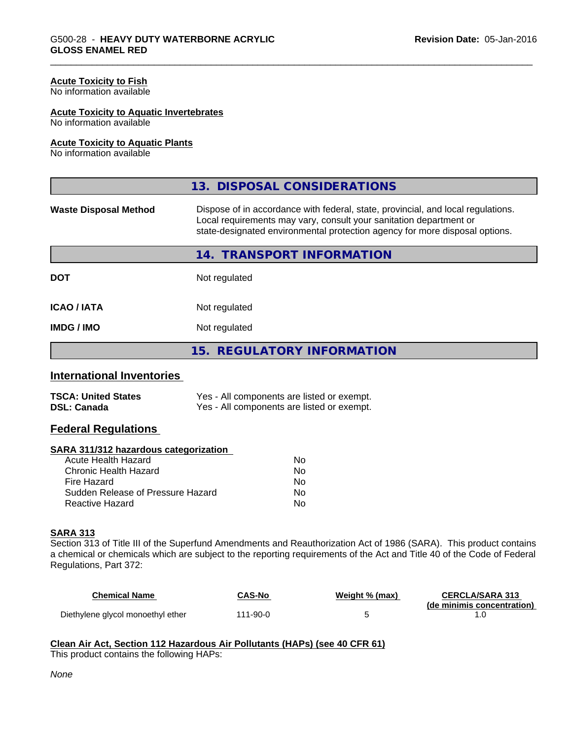#### **Acute Toxicity to Fish**

No information available

#### **Acute Toxicity to Aquatic Invertebrates**

No information available

#### **Acute Toxicity to Aquatic Plants**

No information available

|                              | 13. DISPOSAL CONSIDERATIONS                                                                                                                                                                                                           |  |  |
|------------------------------|---------------------------------------------------------------------------------------------------------------------------------------------------------------------------------------------------------------------------------------|--|--|
| <b>Waste Disposal Method</b> | Dispose of in accordance with federal, state, provincial, and local regulations.<br>Local requirements may vary, consult your sanitation department or<br>state-designated environmental protection agency for more disposal options. |  |  |
|                              | 14. TRANSPORT INFORMATION                                                                                                                                                                                                             |  |  |
| <b>DOT</b>                   | Not regulated                                                                                                                                                                                                                         |  |  |
| <b>ICAO/IATA</b>             | Not regulated                                                                                                                                                                                                                         |  |  |
| <b>IMDG / IMO</b>            | Not regulated                                                                                                                                                                                                                         |  |  |
|                              | 15. REGULATORY INFORMATION                                                                                                                                                                                                            |  |  |

#### **International Inventories**

| <b>TSCA: United States</b> | Yes - All components are listed or exempt. |
|----------------------------|--------------------------------------------|
| <b>DSL: Canada</b>         | Yes - All components are listed or exempt. |

## **Federal Regulations**

#### **SARA 311/312 hazardous categorization**

| Acute Health Hazard               | No |
|-----------------------------------|----|
| Chronic Health Hazard             | Nο |
| Fire Hazard                       | No |
| Sudden Release of Pressure Hazard | Nο |
| Reactive Hazard                   | N٥ |

#### **SARA 313**

Section 313 of Title III of the Superfund Amendments and Reauthorization Act of 1986 (SARA). This product contains a chemical or chemicals which are subject to the reporting requirements of the Act and Title 40 of the Code of Federal Regulations, Part 372:

| <b>Chemical Name</b>              | CAS-No   | Weight % (max) | <b>CERCLA/SARA 313</b>     |
|-----------------------------------|----------|----------------|----------------------------|
| Diethylene glycol monoethyl ether | 111-90-0 |                | (de minimis concentration) |

## **Clean Air Act,Section 112 Hazardous Air Pollutants (HAPs) (see 40 CFR 61)**

This product contains the following HAPs: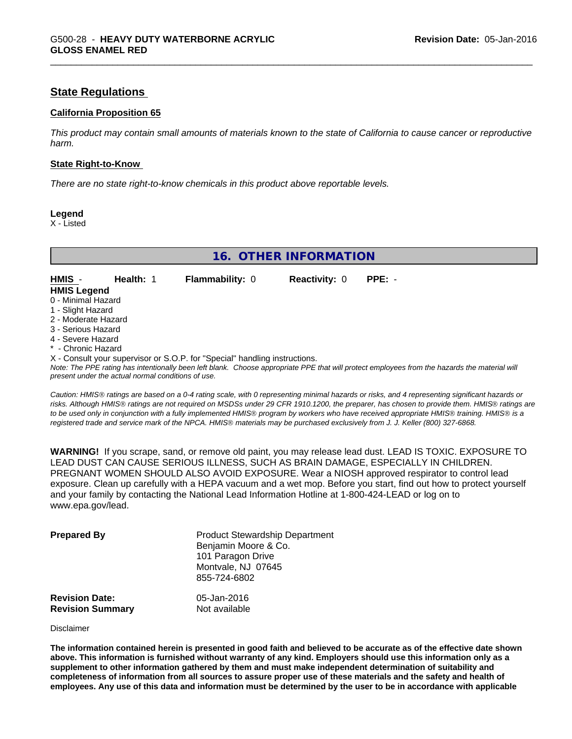# **State Regulations**

#### **California Proposition 65**

This product may contain small amounts of materials known to the state of California to cause cancer or reproductive *harm.*

#### **State Right-to-Know**

*There are no state right-to-know chemicals in this product above reportable levels.*

**Legend**

X - Listed

**16. OTHER INFORMATION**

**HMIS** - **Health:** 1 **Flammability:** 0 **Reactivity:** 0 **PPE:** - **HMIS Legend**

- 0 Minimal Hazard
- 1 Slight Hazard
- 2 Moderate Hazard
- 3 Serious Hazard
- 4 Severe Hazard
- \* Chronic Hazard
- 

X - Consult your supervisor or S.O.P. for "Special" handling instructions.

*Note: The PPE rating has intentionally been left blank. Choose appropriate PPE that will protect employees from the hazards the material will present under the actual normal conditions of use.*

*Caution: HMISÒ ratings are based on a 0-4 rating scale, with 0 representing minimal hazards or risks, and 4 representing significant hazards or risks. Although HMISÒ ratings are not required on MSDSs under 29 CFR 1910.1200, the preparer, has chosen to provide them. HMISÒ ratings are to be used only in conjunction with a fully implemented HMISÒ program by workers who have received appropriate HMISÒ training. HMISÒ is a registered trade and service mark of the NPCA. HMISÒ materials may be purchased exclusively from J. J. Keller (800) 327-6868.*

**WARNING!** If you scrape, sand, or remove old paint, you may release lead dust. LEAD IS TOXIC. EXPOSURE TO LEAD DUST CAN CAUSE SERIOUS ILLNESS, SUCH AS BRAIN DAMAGE, ESPECIALLY IN CHILDREN. PREGNANT WOMEN SHOULD ALSO AVOID EXPOSURE.Wear a NIOSH approved respirator to control lead exposure. Clean up carefully with a HEPA vacuum and a wet mop. Before you start, find out how to protect yourself and your family by contacting the National Lead Information Hotline at 1-800-424-LEAD or log on to www.epa.gov/lead.

| <b>Prepared By</b>      | <b>Product Stewardship Department</b><br>Benjamin Moore & Co.<br>101 Paragon Drive<br>Montvale, NJ 07645<br>855-724-6802 |
|-------------------------|--------------------------------------------------------------------------------------------------------------------------|
| <b>Revision Date:</b>   | 05-Jan-2016                                                                                                              |
| <b>Revision Summary</b> | Not available                                                                                                            |

#### Disclaimer

The information contained herein is presented in good faith and believed to be accurate as of the effective date shown above. This information is furnished without warranty of any kind. Employers should use this information only as a **supplement to other information gathered by them and must make independent determination of suitability and** completeness of information from all sources to assure proper use of these materials and the safety and health of employees. Any use of this data and information must be determined by the user to be in accordance with applicable